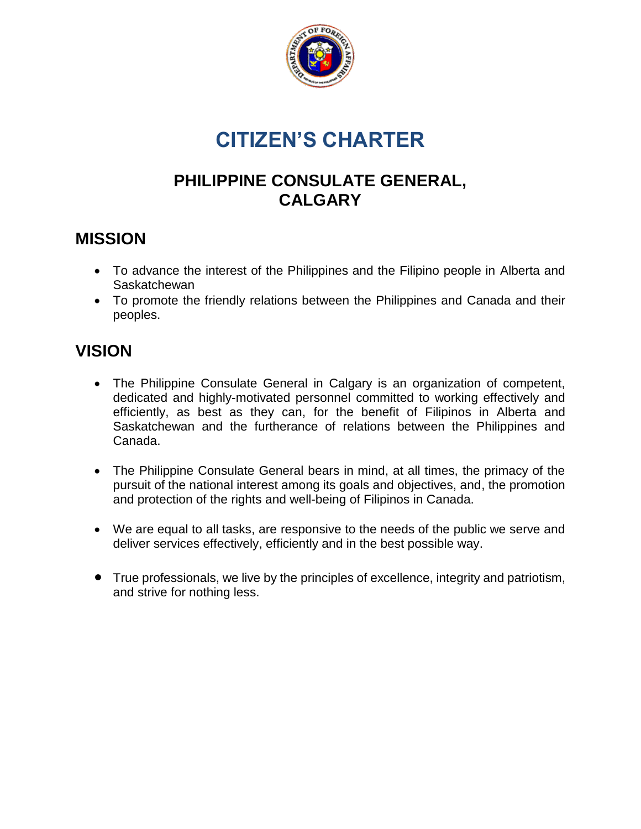

# **CITIZEN'S CHARTER**

#### **PHILIPPINE CONSULATE GENERAL, CALGARY**

#### **MISSION**

- To advance the interest of the Philippines and the Filipino people in Alberta and **Saskatchewan**
- To promote the friendly relations between the Philippines and Canada and their peoples.

# **VISION**

- The Philippine Consulate General in Calgary is an organization of competent, dedicated and highly-motivated personnel committed to working effectively and efficiently, as best as they can, for the benefit of Filipinos in Alberta and Saskatchewan and the furtherance of relations between the Philippines and Canada.
- The Philippine Consulate General bears in mind, at all times, the primacy of the pursuit of the national interest among its goals and objectives, and, the promotion and protection of the rights and well-being of Filipinos in Canada.
- We are equal to all tasks, are responsive to the needs of the public we serve and deliver services effectively, efficiently and in the best possible way.
- True professionals, we live by the principles of excellence, integrity and patriotism, and strive for nothing less.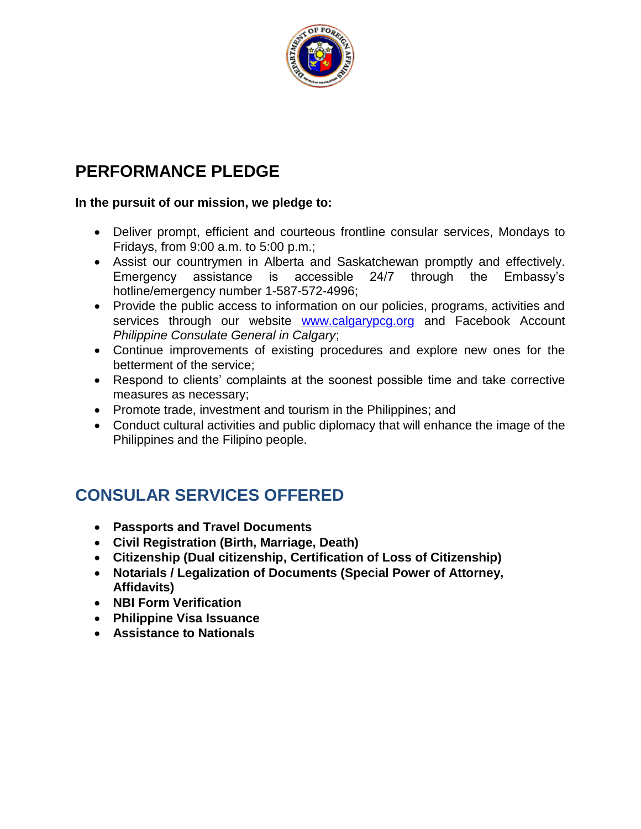

### **PERFORMANCE PLEDGE**

#### **In the pursuit of our mission, we pledge to:**

- Deliver prompt, efficient and courteous frontline consular services, Mondays to Fridays, from 9:00 a.m. to 5:00 p.m.;
- Assist our countrymen in Alberta and Saskatchewan promptly and effectively. Emergency assistance is accessible 24/7 through the Embassy's hotline/emergency number 1-587-572-4996;
- Provide the public access to information on our policies, programs, activities and services through our website [www.calgarypcg.org](http://www.calgarypcg.org/) and Facebook Account *Philippine Consulate General in Calgary*;
- Continue improvements of existing procedures and explore new ones for the betterment of the service;
- Respond to clients' complaints at the soonest possible time and take corrective measures as necessary;
- Promote trade, investment and tourism in the Philippines; and
- Conduct cultural activities and public diplomacy that will enhance the image of the Philippines and the Filipino people.

### **CONSULAR SERVICES OFFERED**

- **Passports and Travel Documents**
- **Civil Registration (Birth, Marriage, Death)**
- **Citizenship (Dual citizenship, Certification of Loss of Citizenship)**
- **Notarials / Legalization of Documents (Special Power of Attorney, Affidavits)**
- **NBI Form Verification**
- **Philippine Visa Issuance**
- **Assistance to Nationals**